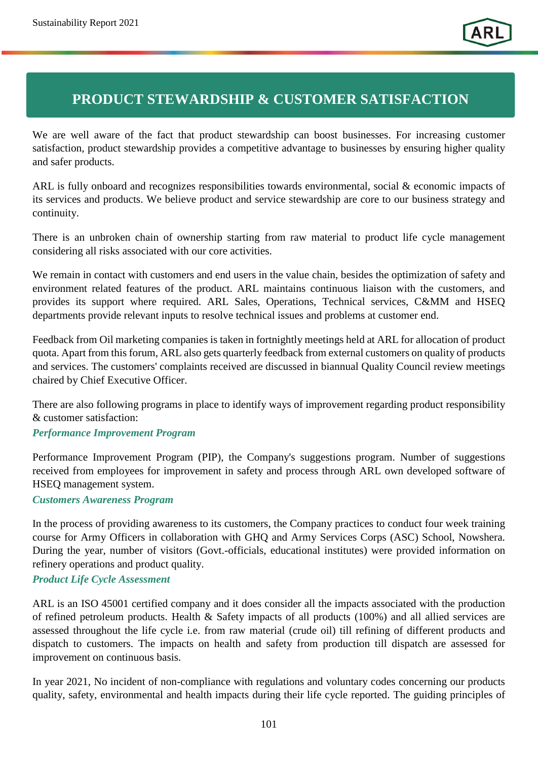# **PRODUCT STEWARDSHIP & CUSTOMER SATISFACTION**

We are well aware of the fact that product stewardship can boost businesses. For increasing customer satisfaction, product stewardship provides a competitive advantage to businesses by ensuring higher quality and safer products.

ARL is fully onboard and recognizes responsibilities towards environmental, social & economic impacts of its services and products. We believe product and service stewardship are core to our business strategy and continuity.

There is an unbroken chain of ownership starting from raw material to product life cycle management considering all risks associated with our core activities.

We remain in contact with customers and end users in the value chain, besides the optimization of safety and environment related features of the product. ARL maintains continuous liaison with the customers, and provides its support where required. ARL Sales, Operations, Technical services, C&MM and HSEQ departments provide relevant inputs to resolve technical issues and problems at customer end.

Feedback from Oil marketing companies is taken in fortnightly meetings held at ARL for allocation of product quota. Apart from this forum, ARL also gets quarterly feedback from external customers on quality of products and services. The customers' complaints received are discussed in biannual Quality Council review meetings chaired by Chief Executive Officer.

There are also following programs in place to identify ways of improvement regarding product responsibility & customer satisfaction:

## *Performance Improvement Program*

Performance Improvement Program (PIP), the Company's suggestions program. Number of suggestions received from employees for improvement in safety and process through ARL own developed software of HSEQ management system.

#### *Customers Awareness Program*

In the process of providing awareness to its customers, the Company practices to conduct four week training course for Army Officers in collaboration with GHQ and Army Services Corps (ASC) School, Nowshera. During the year, number of visitors (Govt.-officials, educational institutes) were provided information on refinery operations and product quality.

#### *Product Life Cycle Assessment*

ARL is an ISO 45001 certified company and it does consider all the impacts associated with the production of refined petroleum products. Health & Safety impacts of all products (100%) and all allied services are assessed throughout the life cycle i.e. from raw material (crude oil) till refining of different products and dispatch to customers. The impacts on health and safety from production till dispatch are assessed for improvement on continuous basis.

In year 2021, No incident of non-compliance with regulations and voluntary codes concerning our products quality, safety, environmental and health impacts during their life cycle reported. The guiding principles of